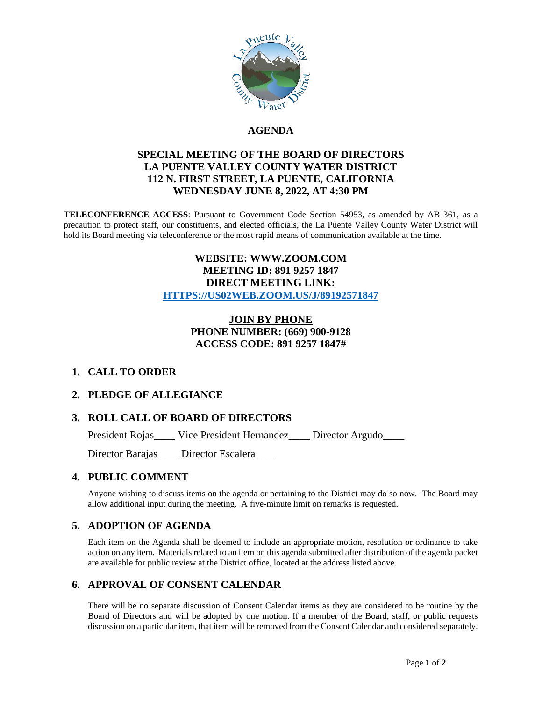

#### **AGENDA**

#### **SPECIAL MEETING OF THE BOARD OF DIRECTORS LA PUENTE VALLEY COUNTY WATER DISTRICT 112 N. FIRST STREET, LA PUENTE, CALIFORNIA WEDNESDAY JUNE 8, 2022, AT 4:30 PM**

**TELECONFERENCE ACCESS**: Pursuant to Government Code Section 54953, as amended by AB 361, as a precaution to protect staff, our constituents, and elected officials, the La Puente Valley County Water District will hold its Board meeting via teleconference or the most rapid means of communication available at the time.

#### **WEBSITE: WWW.ZOOM.COM MEETING ID: 891 9257 1847 DIRECT MEETING LINK: [HTTPS://US02WEB.ZOOM.US/J/89192571847](https://us02web.zoom.us/j/89192571847)**

#### **JOIN BY PHONE PHONE NUMBER: (669) 900-9128 ACCESS CODE: 891 9257 1847#**

## **1. CALL TO ORDER**

## **2. PLEDGE OF ALLEGIANCE**

## **3. ROLL CALL OF BOARD OF DIRECTORS**

President Rojas\_\_\_\_ Vice President Hernandez\_\_\_\_ Director Argudo\_\_\_\_

Director Barajas\_\_\_\_ Director Escalera\_\_\_\_

#### **4. PUBLIC COMMENT**

Anyone wishing to discuss items on the agenda or pertaining to the District may do so now. The Board may allow additional input during the meeting. A five-minute limit on remarks is requested.

## **5. ADOPTION OF AGENDA**

Each item on the Agenda shall be deemed to include an appropriate motion, resolution or ordinance to take action on any item. Materials related to an item on this agenda submitted after distribution of the agenda packet are available for public review at the District office, located at the address listed above.

## **6. APPROVAL OF CONSENT CALENDAR**

There will be no separate discussion of Consent Calendar items as they are considered to be routine by the Board of Directors and will be adopted by one motion. If a member of the Board, staff, or public requests discussion on a particular item, that item will be removed from the Consent Calendar and considered separately.